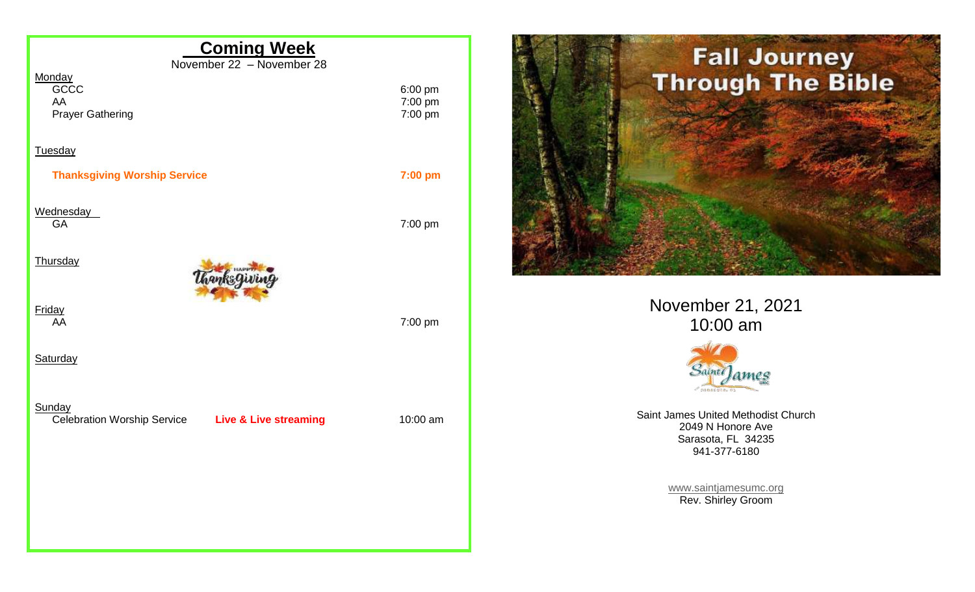



November 21, 2021 10:00 am



Saint James United Methodist Church 2049 N Honore Ave Sarasota, FL 34235 941-377-6180

> [www.saintjamesumc.org](http://www.saintjamesumc.org/) Rev. Shirley Groom